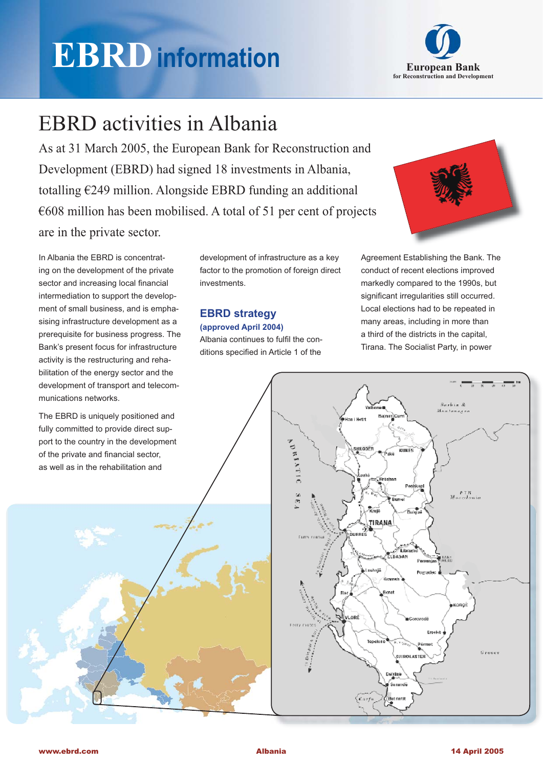# **EBRD** information



## EBRD activities in Albania

As at 31 March 2005, the European Bank for Reconstruction and Development (EBRD) had signed 18 investments in Albania, totalling €249 million. Alongside EBRD funding an additional  $\epsilon$ 608 million has been mobilised. A total of 51 per cent of projects are in the private sector.

In Albania the EBRD is concentrating on the development of the private sector and increasing local financial intermediation to support the development of small business, and is emphasising infrastructure development as a prerequisite for business progress. The Bank's present focus for infrastructure activity is the restructuring and rehabilitation of the energy sector and the development of transport and telecommunications networks.

The EBRD is uniquely positioned and fully committed to provide direct support to the country in the development of the private and financial sector, as well as in the rehabilitation and

development of infrastructure as a key factor to the promotion of foreign direct investments.

## **EBRD strategy (approved April 2004)**

Albania continues to fulfil the conditions specified in Article 1 of the

Agreement Establishing the Bank. The conduct of recent elections improved markedly compared to the 1990s, but significant irregularities still occurred. Local elections had to be repeated in many areas, including in more than a third of the districts in the capital, Tirana. The Socialist Party, in power



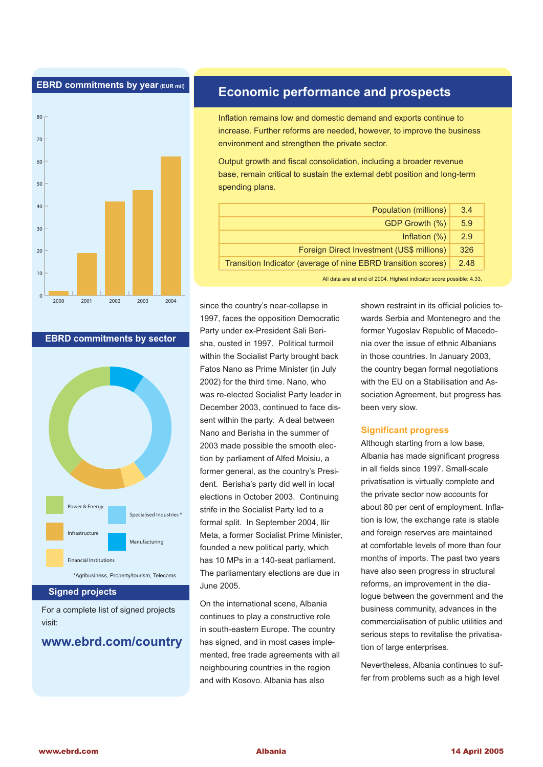### **EBRD commitments by year (EUR mil)**



**EBRD commitments by sector**



## **Signed projects**

For a complete list of signed projects visit:

## **www.ebrd.com/country**

## **Economic performance and prospects**

Inflation remains low and domestic demand and exports continue to increase. Further reforms are needed, however, to improve the business environment and strengthen the private sector.

Output growth and fiscal consolidation, including a broader revenue base, remain critical to sustain the external debt position and long-term spending plans.

| Population (millions)                                         | 3.4  |
|---------------------------------------------------------------|------|
| GDP Growth (%)                                                | 5.9  |
| Inflation $(\%)$                                              | 2.9  |
| Foreign Direct Investment (US\$ millions)                     | 326  |
| Transition Indicator (average of nine EBRD transition scores) | 2.48 |

All data are at end of 2004. Highest indicator score possible: 4.33.

since the country's near-collapse in 1997, faces the opposition Democratic Party under ex-President Sali Berisha, ousted in 1997. Political turmoil within the Socialist Party brought back Fatos Nano as Prime Minister (in July 2002) for the third time. Nano, who was re-elected Socialist Party leader in December 2003, continued to face dissent within the party. A deal between Nano and Berisha in the summer of 2003 made possible the smooth election by parliament of Alfed Moisiu, a former general, as the country's President. Berisha's party did well in local elections in October 2003. Continuing strife in the Socialist Party led to a formal split. In September 2004, Ilir Meta, a former Socialist Prime Minister, founded a new political party, which has 10 MPs in a 140-seat parliament. The parliamentary elections are due in June 2005.

On the international scene, Albania continues to play a constructive role in south-eastern Europe. The country has signed, and in most cases implemented, free trade agreements with all neighbouring countries in the region and with Kosovo. Albania has also

shown restraint in its official policies towards Serbia and Montenegro and the former Yugoslav Republic of Macedonia over the issue of ethnic Albanians in those countries. In January 2003, the country began formal negotiations with the EU on a Stabilisation and Association Agreement, but progress has been very slow.

#### **Significant progress**

Although starting from a low base, Albania has made significant progress in all fields since 1997. Small-scale privatisation is virtually complete and the private sector now accounts for about 80 per cent of employment. Inflation is low, the exchange rate is stable and foreign reserves are maintained at comfortable levels of more than four months of imports. The past two years have also seen progress in structural reforms, an improvement in the dialogue between the government and the business community, advances in the commercialisation of public utilities and serious steps to revitalise the privatisation of large enterprises.

Nevertheless, Albania continues to suffer from problems such as a high level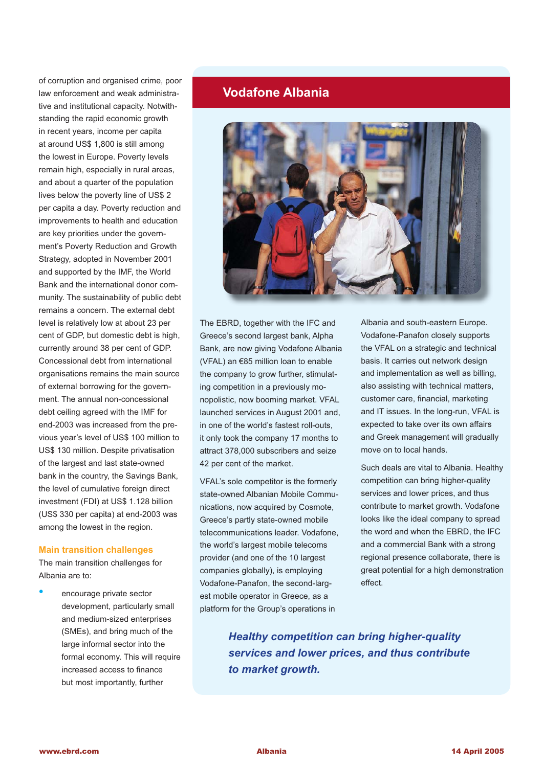of corruption and organised crime, poor law enforcement and weak administrative and institutional capacity. Notwithstanding the rapid economic growth in recent years, income per capita at around US\$ 1,800 is still among the lowest in Europe. Poverty levels remain high, especially in rural areas, and about a quarter of the population lives below the poverty line of US\$ 2 per capita a day. Poverty reduction and improvements to health and education are key priorities under the government's Poverty Reduction and Growth Strategy, adopted in November 2001 and supported by the IMF, the World Bank and the international donor community. The sustainability of public debt remains a concern. The external debt level is relatively low at about 23 per cent of GDP, but domestic debt is high, currently around 38 per cent of GDP. Concessional debt from international organisations remains the main source of external borrowing for the government. The annual non-concessional debt ceiling agreed with the IMF for end-2003 was increased from the previous year's level of US\$ 100 million to US\$ 130 million. Despite privatisation of the largest and last state-owned bank in the country, the Savings Bank, the level of cumulative foreign direct investment (FDI) at US\$ 1.128 billion (US\$ 330 per capita) at end-2003 was among the lowest in the region.

#### **Main transition challenges**

The main transition challenges for Albania are to:

encourage private sector development, particularly small and medium-sized enterprises (SMEs), and bring much of the large informal sector into the formal economy. This will require increased access to finance but most importantly, further

## **Vodafone Albania**



The EBRD, together with the IFC and Greece's second largest bank, Alpha Bank, are now giving Vodafone Albania (VFAL) an €85 million loan to enable the company to grow further, stimulating competition in a previously monopolistic, now booming market. VFAL launched services in August 2001 and, in one of the world's fastest roll-outs, it only took the company 17 months to attract 378,000 subscribers and seize 42 per cent of the market.

VFAL's sole competitor is the formerly state-owned Albanian Mobile Communications, now acquired by Cosmote, Greece's partly state-owned mobile telecommunications leader. Vodafone, the world's largest mobile telecoms provider (and one of the 10 largest companies globally), is employing Vodafone-Panafon, the second-largest mobile operator in Greece, as a platform for the Group's operations in

Albania and south-eastern Europe. Vodafone-Panafon closely supports the VFAL on a strategic and technical basis. It carries out network design and implementation as well as billing, also assisting with technical matters, customer care, financial, marketing and IT issues. In the long-run, VFAL is expected to take over its own affairs and Greek management will gradually move on to local hands.

Such deals are vital to Albania. Healthy competition can bring higher-quality services and lower prices, and thus contribute to market growth. Vodafone looks like the ideal company to spread the word and when the EBRD, the IFC and a commercial Bank with a strong regional presence collaborate, there is great potential for a high demonstration effect.

*Healthy competition can bring higher-quality services and lower prices, and thus contribute to market growth.*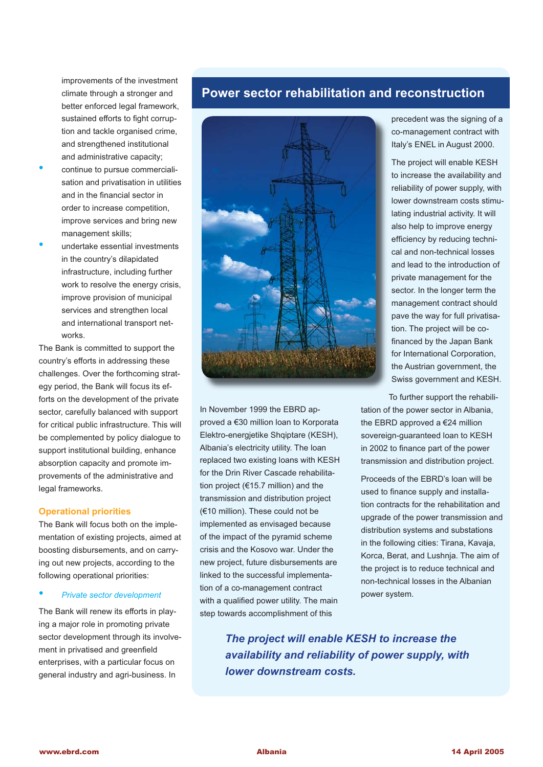improvements of the investment climate through a stronger and better enforced legal framework, sustained efforts to fight corruption and tackle organised crime, and strengthened institutional and administrative capacity;

- continue to pursue commercialisation and privatisation in utilities and in the financial sector in order to increase competition, improve services and bring new management skills;
- undertake essential investments in the country's dilapidated infrastructure, including further work to resolve the energy crisis, improve provision of municipal services and strengthen local and international transport networks.

The Bank is committed to support the country's efforts in addressing these challenges. Over the forthcoming strategy period, the Bank will focus its efforts on the development of the private sector, carefully balanced with support for critical public infrastructure. This will be complemented by policy dialogue to support institutional building, enhance absorption capacity and promote improvements of the administrative and legal frameworks.

#### **Operational priorities**

The Bank will focus both on the implementation of existing projects, aimed at boosting disbursements, and on carrying out new projects, according to the following operational priorities:

#### *Private sector development •*

The Bank will renew its efforts in playing a major role in promoting private sector development through its involvement in privatised and greenfield enterprises, with a particular focus on general industry and agri-business. In

## **Power sector rehabilitation and reconstruction**



In November 1999 the EBRD approved a €30 million loan to Korporata Elektro-energjetike Shqiptare (KESH), Albania's electricity utility. The loan replaced two existing loans with KESH for the Drin River Cascade rehabilitation project (€15.7 million) and the transmission and distribution project (€10 million). These could not be implemented as envisaged because of the impact of the pyramid scheme crisis and the Kosovo war. Under the new project, future disbursements are linked to the successful implementation of a co-management contract with a qualified power utility. The main step towards accomplishment of this

precedent was the signing of a co-management contract with Italy's ENEL in August 2000.

The project will enable KESH to increase the availability and reliability of power supply, with lower downstream costs stimulating industrial activity. It will also help to improve energy efficiency by reducing technical and non-technical losses and lead to the introduction of private management for the sector. In the longer term the management contract should pave the way for full privatisation. The project will be cofinanced by the Japan Bank for International Corporation, the Austrian government, the Swiss government and KESH.

To further support the rehabilitation of the power sector in Albania, the EBRD approved a €24 million sovereign-guaranteed loan to KESH in 2002 to finance part of the power transmission and distribution project.

Proceeds of the EBRD's loan will be used to finance supply and installation contracts for the rehabilitation and upgrade of the power transmission and distribution systems and substations in the following cities: Tirana, Kavaja, Korca, Berat, and Lushnja. The aim of the project is to reduce technical and non-technical losses in the Albanian power system.

*The project will enable KESH to increase the availability and reliability of power supply, with lower downstream costs.*